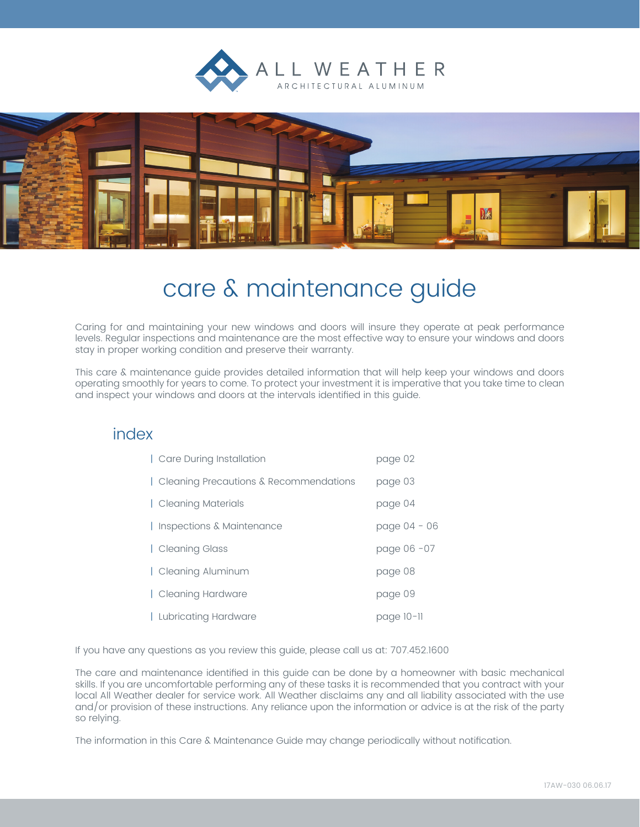



# care & maintenance guide

Caring for and maintaining your new windows and doors will insure they operate at peak performance levels. Regular inspections and maintenance are the most effective way to ensure your windows and doors stay in proper working condition and preserve their warranty.

This care & maintenance guide provides detailed information that will help keep your windows and doors operating smoothly for years to come. To protect your investment it is imperative that you take time to clean and inspect your windows and doors at the intervals identified in this guide.

## index

| Care During Installation               | page 02      |
|----------------------------------------|--------------|
| Cleaning Precautions & Recommendations | page 03      |
| Cleaning Materials                     | page 04      |
| Inspections & Maintenance              | page 04 - 06 |
| Cleaning Glass                         | page 06 - 07 |
| Cleaning Aluminum                      | page 08      |
| Cleaning Hardware                      | page 09      |
| Lubricating Hardware                   | page 10-11   |

If you have any questions as you review this guide, please call us at: 707.452.1600

The care and maintenance identified in this guide can be done by a homeowner with basic mechanical skills. If you are uncomfortable performing any of these tasks it is recommended that you contract with your local All Weather dealer for service work. All Weather disclaims any and all liability associated with the use and/or provision of these instructions. Any reliance upon the information or advice is at the risk of the party so relying.

The information in this Care & Maintenance Guide may change periodically without notification.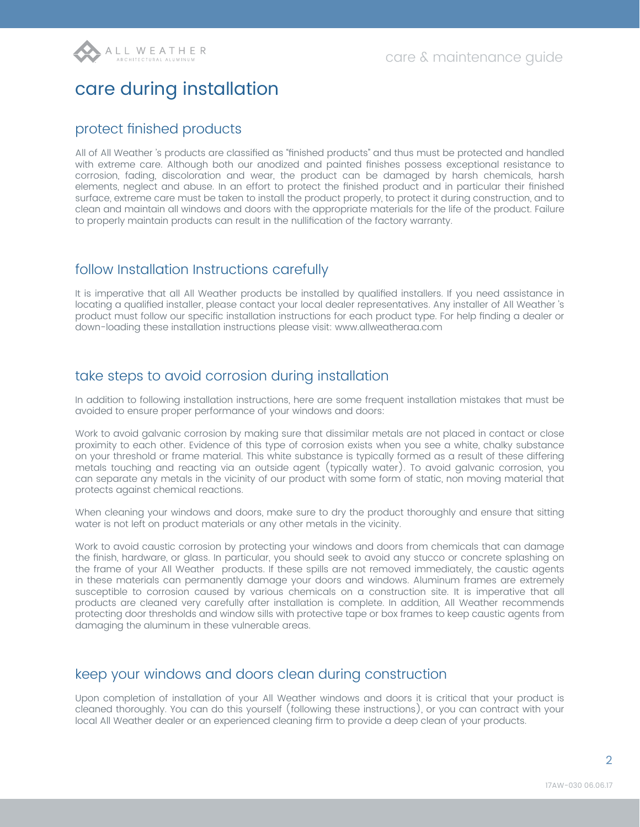# care during installation

#### protect finished products

All of All Weather 's products are classified as "finished products" and thus must be protected and handled with extreme care. Although both our anodized and painted finishes possess exceptional resistance to corrosion, fading, discoloration and wear, the product can be damaged by harsh chemicals, harsh elements, neglect and abuse. In an effort to protect the finished product and in particular their finished surface, extreme care must be taken to install the product properly, to protect it during construction, and to clean and maintain all windows and doors with the appropriate materials for the life of the product. Failure to properly maintain products can result in the nullification of the factory warranty.

#### follow Installation Instructions carefully

It is imperative that all All Weather products be installed by qualified installers. If you need assistance in locating a qualified installer, please contact your local dealer representatives. Any installer of All Weather 's product must follow our specific installation instructions for each product type. For help finding a dealer or down-loading these installation instructions please visit: www.allweatheraa.com

### take steps to avoid corrosion during installation

In addition to following installation instructions, here are some frequent installation mistakes that must be avoided to ensure proper performance of your windows and doors:

Work to avoid galvanic corrosion by making sure that dissimilar metals are not placed in contact or close proximity to each other. Evidence of this type of corrosion exists when you see a white, chalky substance on your threshold or frame material. This white substance is typically formed as a result of these differing metals touching and reacting via an outside agent (typically water). To avoid galvanic corrosion, you can separate any metals in the vicinity of our product with some form of static, non moving material that protects against chemical reactions.

When cleaning your windows and doors, make sure to dry the product thoroughly and ensure that sitting water is not left on product materials or any other metals in the vicinity.

Work to avoid caustic corrosion by protecting your windows and doors from chemicals that can damage the finish, hardware, or glass. In particular, you should seek to avoid any stucco or concrete splashing on the frame of your All Weather products. If these spills are not removed immediately, the caustic agents in these materials can permanently damage your doors and windows. Aluminum frames are extremely susceptible to corrosion caused by various chemicals on a construction site. It is imperative that all products are cleaned very carefully after installation is complete. In addition, All Weather recommends protecting door thresholds and window sills with protective tape or box frames to keep caustic agents from damaging the aluminum in these vulnerable areas.

### keep your windows and doors clean during construction

Upon completion of installation of your All Weather windows and doors it is critical that your product is cleaned thoroughly. You can do this yourself (following these instructions), or you can contract with your local All Weather dealer or an experienced cleaning firm to provide a deep clean of your products.

 $\overline{2}$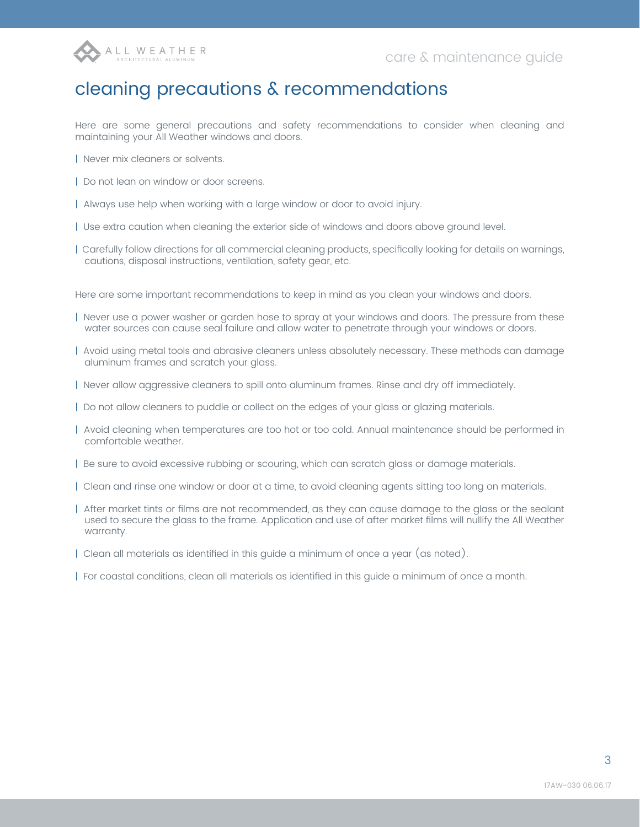

# cleaning precautions & recommendations

Here are some general precautions and safety recommendations to consider when cleaning and maintaining your All Weather windows and doors.

- | Never mix cleaners or solvents.
- | Do not lean on window or door screens.
- | Always use help when working with a large window or door to avoid injury.
- | Use extra caution when cleaning the exterior side of windows and doors above ground level.
- | Carefully follow directions for all commercial cleaning products, specifically looking for details on warnings, cautions, disposal instructions, ventilation, safety gear, etc.

Here are some important recommendations to keep in mind as you clean your windows and doors.

- | Never use a power washer or garden hose to spray at your windows and doors. The pressure from these water sources can cause seal failure and allow water to penetrate through your windows or doors.
- | Avoid using metal tools and abrasive cleaners unless absolutely necessary. These methods can damage aluminum frames and scratch your glass.
- | Never allow aggressive cleaners to spill onto aluminum frames. Rinse and dry off immediately.
- | Do not allow cleaners to puddle or collect on the edges of your glass or glazing materials.
- | Avoid cleaning when temperatures are too hot or too cold. Annual maintenance should be performed in comfortable weather.
- | Be sure to avoid excessive rubbing or scouring, which can scratch glass or damage materials.
- | Clean and rinse one window or door at a time, to avoid cleaning agents sitting too long on materials.
- | After market tints or films are not recommended, as they can cause damage to the glass or the sealant used to secure the glass to the frame. Application and use of after market films will nullify the All Weather warranty.
- | Clean all materials as identified in this guide a minimum of once a year (as noted).
- | For coastal conditions, clean all materials as identified in this guide a minimum of once a month.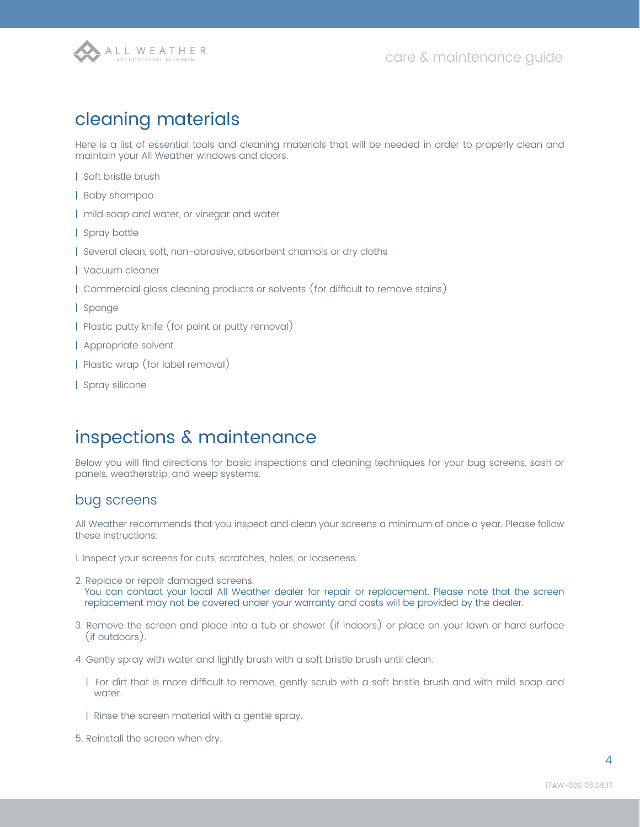

## cleaning materials

Here is a list of essential tools and cleaning materials that will be needed in order to properly clean and maintain your All Weather windows and doors.

- | Soft bristle brush
- | Baby shampoo
- | mild soap and water, or vinegar and water
- | Spray bottle
- | Several clean, soft, non-abrasive, absorbent chamois or dry cloths
- | Vacuum cleaner
- | Commercial glass cleaning products or solvents (for difficult to remove stains)
- | Sponge
- | Plastic putty knife (for paint or putty removal)
- | Appropriate solvent
- | Plastic wrap (for label removal)
- | Spray silicone

## inspections & maintenance

Below you will find directions for basic inspections and cleaning techniques for your bug screens, sash or panels, weatherstrip, and weep systems.

#### bug screens

All Weather recommends that you inspect and clean your screens a minimum of once a year. Please follow these instructions:

1. Inspect your screens for cuts, scratches, holes, or looseness.

- 2. Replace or repair damaged screens. You can contact your local All Weather dealer for repair or replacement. Please note that the screen replacement may not be covered under your warranty and costs will be provided by the dealer.
- 3. Remove the screen and place into a tub or shower (if indoors) or place on your lawn or hard surface (if outdoors).
- 4. Gently spray with water and lightly brush with a soft bristle brush until clean.
	- | For dirt that is more difficult to remove, gently scrub with a soft bristle brush and with mild soap and water.
	- | Rinse the screen material with a gentle spray.
- 5. Reinstall the screen when dry.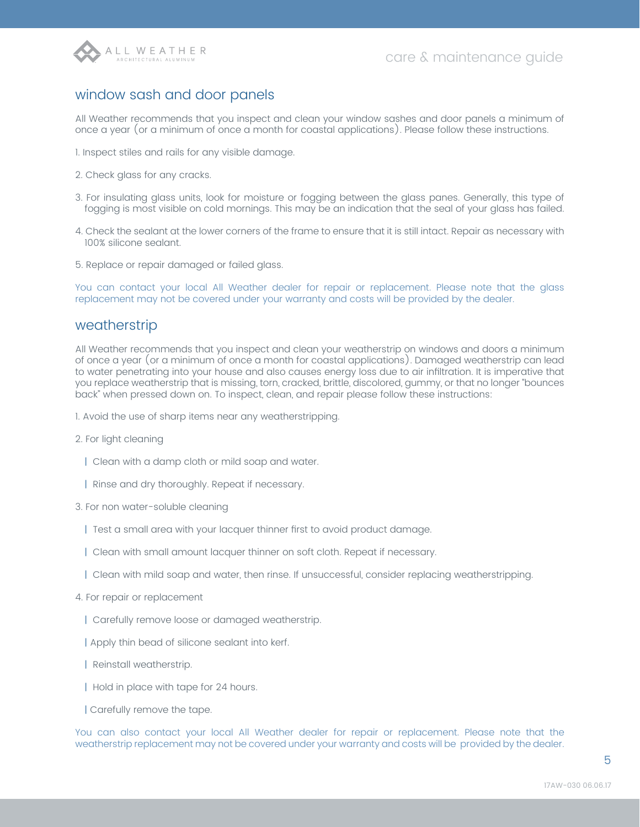

### window sash and door panels

All Weather recommends that you inspect and clean your window sashes and door panels a minimum of once a year (or a minimum of once a month for coastal applications). Please follow these instructions.

1. Inspect stiles and rails for any visible damage.

- 2. Check glass for any cracks.
- 3. For insulating glass units, look for moisture or fogging between the glass panes. Generally, this type of fogging is most visible on cold mornings. This may be an indication that the seal of your glass has failed.
- 4. Check the sealant at the lower corners of the frame to ensure that it is still intact. Repair as necessary with 100% silicone sealant.
- 5. Replace or repair damaged or failed glass.

You can contact your local All Weather dealer for repair or replacement. Please note that the glass replacement may not be covered under your warranty and costs will be provided by the dealer.

#### weatherstrip

All Weather recommends that you inspect and clean your weatherstrip on windows and doors a minimum of once a year (or a minimum of once a month for coastal applications). Damaged weatherstrip can lead to water penetrating into your house and also causes energy loss due to air infiltration. It is imperative that you replace weatherstrip that is missing, torn, cracked, brittle, discolored, gummy, or that no longer "bounces back" when pressed down on. To inspect, clean, and repair please follow these instructions:

- 1. Avoid the use of sharp items near any weatherstripping.
- 2. For light cleaning
	- | Clean with a damp cloth or mild soap and water.
	- | Rinse and dry thoroughly. Repeat if necessary.
- 3. For non water-soluble cleaning
	- | Test a small area with your lacquer thinner first to avoid product damage.
	- | Clean with small amount lacquer thinner on soft cloth. Repeat if necessary.
	- | Clean with mild soap and water, then rinse. If unsuccessful, consider replacing weatherstripping.
- 4. For repair or replacement
	- | Carefully remove loose or damaged weatherstrip.
	- | Apply thin bead of silicone sealant into kerf.
	- | Reinstall weatherstrip.
	- | Hold in place with tape for 24 hours.
	- | Carefully remove the tape.

You can also contact your local All Weather dealer for repair or replacement. Please note that the weatherstrip replacement may not be covered under your warranty and costs will be provided by the dealer.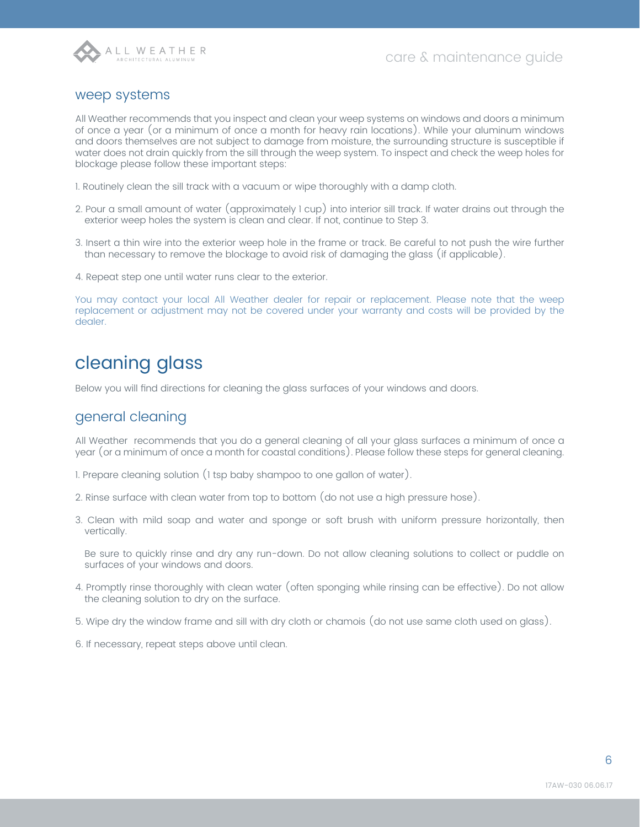

#### weep systems

All Weather recommends that you inspect and clean your weep systems on windows and doors a minimum of once a year (or a minimum of once a month for heavy rain locations). While your aluminum windows and doors themselves are not subject to damage from moisture, the surrounding structure is susceptible if water does not drain quickly from the sill through the weep system. To inspect and check the weep holes for blockage please follow these important steps:

- 1. Routinely clean the sill track with a vacuum or wipe thoroughly with a damp cloth.
- 2. Pour a small amount of water (approximately 1 cup) into interior sill track. If water drains out through the exterior weep holes the system is clean and clear. If not, continue to Step 3.
- 3. Insert a thin wire into the exterior weep hole in the frame or track. Be careful to not push the wire further than necessary to remove the blockage to avoid risk of damaging the glass (if applicable).
- 4. Repeat step one until water runs clear to the exterior.

You may contact your local All Weather dealer for repair or replacement. Please note that the weep replacement or adjustment may not be covered under your warranty and costs will be provided by the dealer.

# cleaning glass

Below you will find directions for cleaning the glass surfaces of your windows and doors.

### general cleaning

All Weather recommends that you do a general cleaning of all your glass surfaces a minimum of once a year (or a minimum of once a month for coastal conditions). Please follow these steps for general cleaning.

- 1. Prepare cleaning solution (1 tsp baby shampoo to one gallon of water).
- 2. Rinse surface with clean water from top to bottom (do not use a high pressure hose).
- 3. Clean with mild soap and water and sponge or soft brush with uniform pressure horizontally, then vertically.

Be sure to quickly rinse and dry any run-down. Do not allow cleaning solutions to collect or puddle on surfaces of your windows and doors.

- 4. Promptly rinse thoroughly with clean water (often sponging while rinsing can be effective). Do not allow the cleaning solution to dry on the surface.
- 5. Wipe dry the window frame and sill with dry cloth or chamois (do not use same cloth used on glass).
- 6. If necessary, repeat steps above until clean.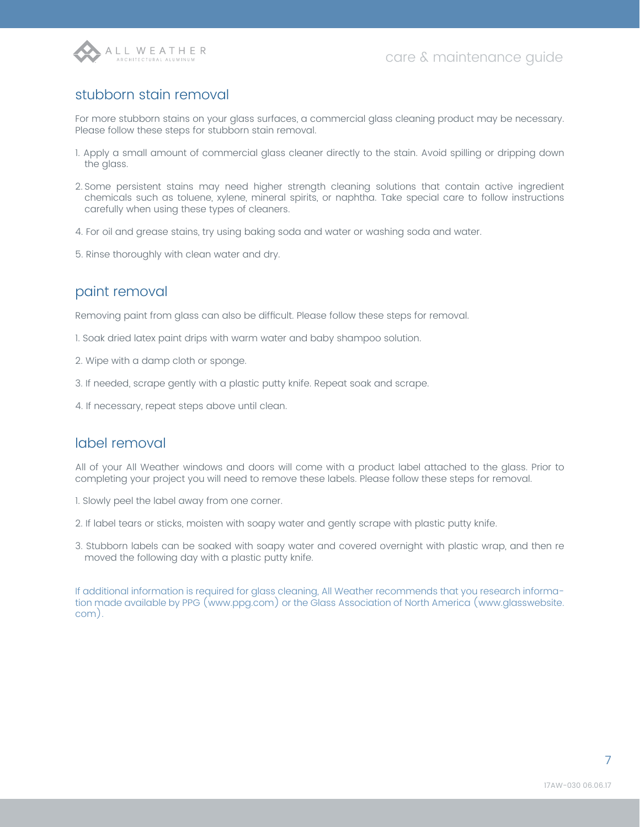

## stubborn stain removal

For more stubborn stains on your glass surfaces, a commercial glass cleaning product may be necessary. Please follow these steps for stubborn stain removal.

- 1. Apply a small amount of commercial glass cleaner directly to the stain. Avoid spilling or dripping down the glass.
- 2. Some persistent stains may need higher strength cleaning solutions that contain active ingredient chemicals such as toluene, xylene, mineral spirits, or naphtha. Take special care to follow instructions carefully when using these types of cleaners.
- 4. For oil and grease stains, try using baking soda and water or washing soda and water.
- 5. Rinse thoroughly with clean water and dry.

### paint removal

Removing paint from glass can also be difficult. Please follow these steps for removal.

- 1. Soak dried latex paint drips with warm water and baby shampoo solution.
- 2. Wipe with a damp cloth or sponge.
- 3. If needed, scrape gently with a plastic putty knife. Repeat soak and scrape.
- 4. If necessary, repeat steps above until clean.

#### label removal

All of your All Weather windows and doors will come with a product label attached to the glass. Prior to completing your project you will need to remove these labels. Please follow these steps for removal.

- 1. Slowly peel the label away from one corner.
- 2. If label tears or sticks, moisten with soapy water and gently scrape with plastic putty knife.
- 3. Stubborn labels can be soaked with soapy water and covered overnight with plastic wrap, and then re moved the following day with a plastic putty knife.

If additional information is required for glass cleaning, All Weather recommends that you research information made available by PPG (www.ppg.com) or the Glass Association of North America (www.glasswebsite. com).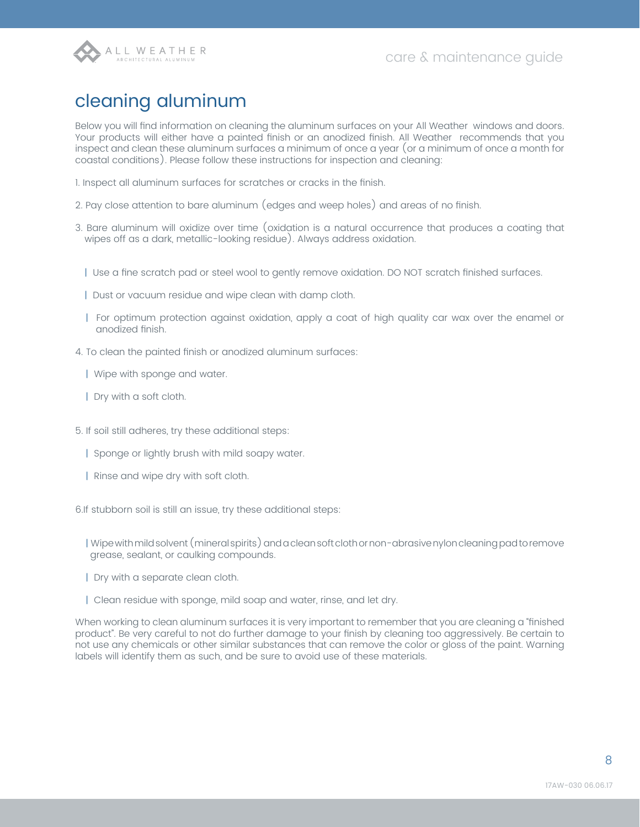

# cleaning aluminum

Below you will find information on cleaning the aluminum surfaces on your All Weather windows and doors. Your products will either have a painted finish or an anodized finish. All Weather recommends that you inspect and clean these aluminum surfaces a minimum of once a year (or a minimum of once a month for coastal conditions). Please follow these instructions for inspection and cleaning:

- 1. Inspect all aluminum surfaces for scratches or cracks in the finish.
- 2. Pay close attention to bare aluminum (edges and weep holes) and areas of no finish.
- 3. Bare aluminum will oxidize over time (oxidation is a natural occurrence that produces a coating that wipes off as a dark, metallic-looking residue). Always address oxidation.
	- | Use a fine scratch pad or steel wool to gently remove oxidation. DO NOT scratch finished surfaces.
	- | Dust or vacuum residue and wipe clean with damp cloth.
	- | For optimum protection against oxidation, apply a coat of high quality car wax over the enamel or anodized finish.
- 4. To clean the painted finish or anodized aluminum surfaces:
	- | Wipe with sponge and water.
	- | Dry with a soft cloth.
- 5. If soil still adheres, try these additional steps:
	- | Sponge or lightly brush with mild soapy water.
	- | Rinse and wipe dry with soft cloth.
- 6.If stubborn soil is still an issue, try these additional steps:
	- | Wipe with mild solvent (mineral spirits) and a clean soft cloth or non-abrasive nylon cleaning pad to remove grease, sealant, or caulking compounds.
	- | Dry with a separate clean cloth.
	- | Clean residue with sponge, mild soap and water, rinse, and let dry.

When working to clean aluminum surfaces it is very important to remember that you are cleaning a "finished product". Be very careful to not do further damage to your finish by cleaning too aggressively. Be certain to not use any chemicals or other similar substances that can remove the color or gloss of the paint. Warning labels will identify them as such, and be sure to avoid use of these materials.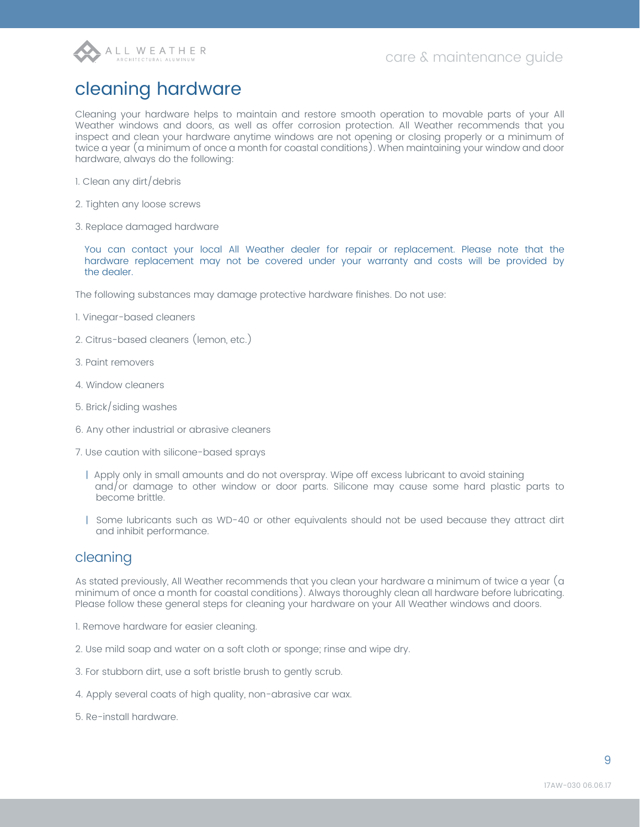

# cleaning hardware

Cleaning your hardware helps to maintain and restore smooth operation to movable parts of your All Weather windows and doors, as well as offer corrosion protection. All Weather recommends that you inspect and clean your hardware anytime windows are not opening or closing properly or a minimum of twice a year (a minimum of once a month for coastal conditions). When maintaining your window and door hardware, always do the following:

- 1. Clean any dirt/debris
- 2. Tighten any loose screws
- 3. Replace damaged hardware

You can contact your local All Weather dealer for repair or replacement. Please note that the hardware replacement may not be covered under your warranty and costs will be provided by the dealer.

The following substances may damage protective hardware finishes. Do not use:

- 1. Vinegar-based cleaners
- 2. Citrus-based cleaners (lemon, etc.)
- 3. Paint removers
- 4. Window cleaners
- 5. Brick/siding washes
- 6. Any other industrial or abrasive cleaners
- 7. Use caution with silicone-based sprays
	- | Apply only in small amounts and do not overspray. Wipe off excess lubricant to avoid staining and/or damage to other window or door parts. Silicone may cause some hard plastic parts to become brittle.
	- | Some lubricants such as WD-40 or other equivalents should not be used because they attract dirt and inhibit performance.

#### cleaning

As stated previously, All Weather recommends that you clean your hardware a minimum of twice a year (a minimum of once a month for coastal conditions). Always thoroughly clean all hardware before lubricating. Please follow these general steps for cleaning your hardware on your All Weather windows and doors.

1. Remove hardware for easier cleaning.

- 2. Use mild soap and water on a soft cloth or sponge; rinse and wipe dry.
- 3. For stubborn dirt, use a soft bristle brush to gently scrub.
- 4. Apply several coats of high quality, non-abrasive car wax.
- 5. Re-install hardware.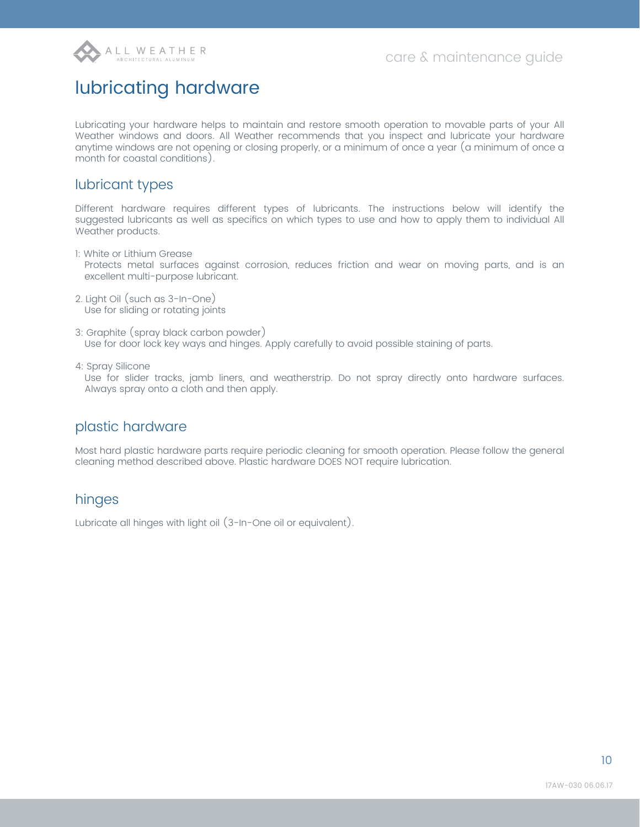

# lubricating hardware

Lubricating your hardware helps to maintain and restore smooth operation to movable parts of your All Weather windows and doors. All Weather recommends that you inspect and lubricate your hardware anytime windows are not opening or closing properly, or a minimum of once a year (a minimum of once a month for coastal conditions).

#### lubricant types

Different hardware requires different types of lubricants. The instructions below will identify the suggested lubricants as well as specifics on which types to use and how to apply them to individual All Weather products.

- 1: White or Lithium Grease Protects metal surfaces against corrosion, reduces friction and wear on moving parts, and is an excellent multi-purpose lubricant.
- 2. Light Oil (such as 3-In-One) Use for sliding or rotating joints
- 3: Graphite (spray black carbon powder) Use for door lock key ways and hinges. Apply carefully to avoid possible staining of parts.
- 4: Spray Silicone

Use for slider tracks, jamb liners, and weatherstrip. Do not spray directly onto hardware surfaces. Always spray onto a cloth and then apply.

### plastic hardware

Most hard plastic hardware parts require periodic cleaning for smooth operation. Please follow the general cleaning method described above. Plastic hardware DOES NOT require lubrication.

### hinges

Lubricate all hinges with light oil (3-In-One oil or equivalent).